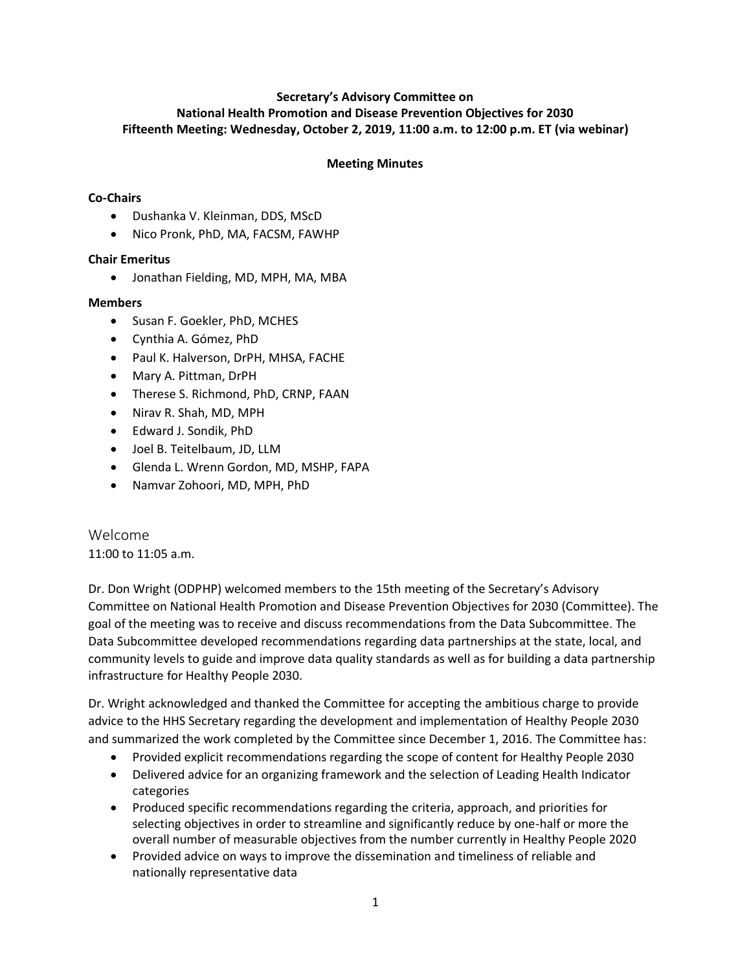### **Secretary's Advisory Committee on National Health Promotion and Disease Prevention Objectives for 2030 Fifteenth Meeting: Wednesday, October 2, 2019, 11:00 a.m. to 12:00 p.m. ET (via webinar)**

### **Meeting Minutes**

# **Co-Chairs**

- Dushanka V. Kleinman, DDS, MScD
- Nico Pronk, PhD, MA, FACSM, FAWHP

## **Chair Emeritus**

• Jonathan Fielding, MD, MPH, MA, MBA

### **Members**

- Susan F. Goekler, PhD, MCHES
- Cynthia A. Gómez, PhD
- Paul K. Halverson, DrPH, MHSA, FACHE
- Mary A. Pittman, DrPH
- Therese S. Richmond, PhD, CRNP, FAAN
- Nirav R. Shah, MD, MPH
- Edward J. Sondik, PhD
- Joel B. Teitelbaum, JD, LLM
- Glenda L. Wrenn Gordon, MD, MSHP, FAPA
- Namvar Zohoori, MD, MPH, PhD

Welcome 11:00 to 11:05 a.m.

Dr. Don Wright (ODPHP) welcomed members to the 15th meeting of the Secretary's Advisory Committee on National Health Promotion and Disease Prevention Objectives for 2030 (Committee). The goal of the meeting was to receive and discuss recommendations from the Data Subcommittee. The Data Subcommittee developed recommendations regarding data partnerships at the state, local, and community levels to guide and improve data quality standards as well as for building a data partnership infrastructure for Healthy People 2030.

Dr. Wright acknowledged and thanked the Committee for accepting the ambitious charge to provide advice to the HHS Secretary regarding the development and implementation of Healthy People 2030 and summarized the work completed by the Committee since December 1, 2016. The Committee has:

- Provided explicit recommendations regarding the scope of content for Healthy People 2030
- Delivered advice for an organizing framework and the selection of Leading Health Indicator categories
- Produced specific recommendations regarding the criteria, approach, and priorities for selecting objectives in order to streamline and significantly reduce by one-half or more the overall number of measurable objectives from the number currently in Healthy People 2020
- Provided advice on ways to improve the dissemination and timeliness of reliable and nationally representative data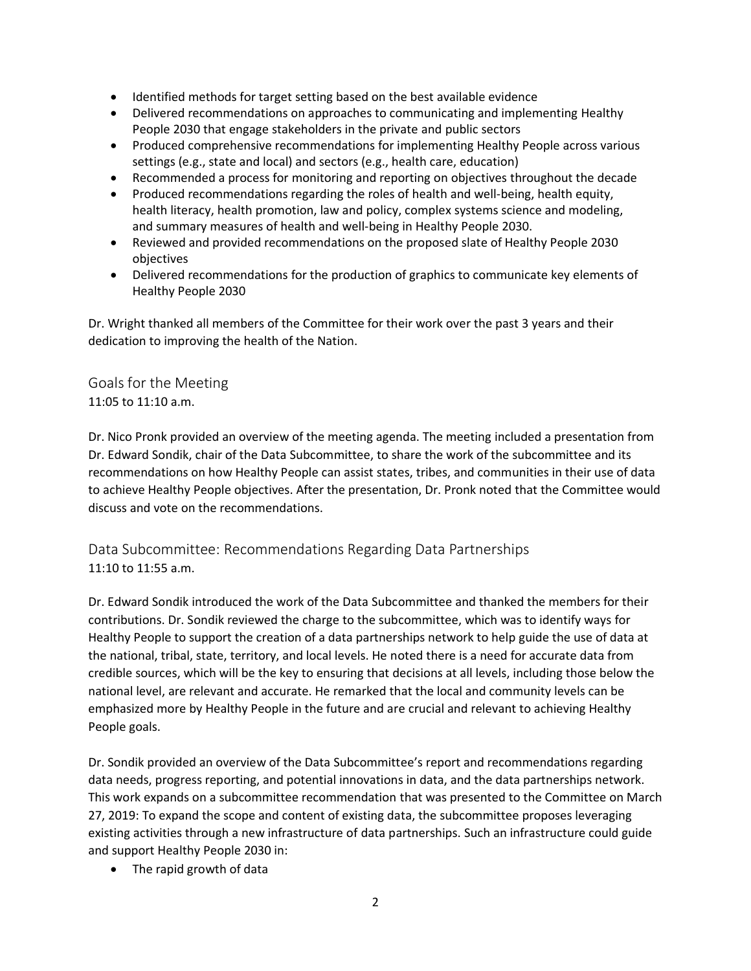- Identified methods for target setting based on the best available evidence
- Delivered recommendations on approaches to communicating and implementing Healthy People 2030 that engage stakeholders in the private and public sectors
- Produced comprehensive recommendations for implementing Healthy People across various settings (e.g., state and local) and sectors (e.g., health care, education)
- Recommended a process for monitoring and reporting on objectives throughout the decade
- Produced recommendations regarding the roles of health and well-being, health equity, health literacy, health promotion, law and policy, complex systems science and modeling, and summary measures of health and well-being in Healthy People 2030.
- Reviewed and provided recommendations on the proposed slate of Healthy People 2030 objectives
- Delivered recommendations for the production of graphics to communicate key elements of Healthy People 2030

Dr. Wright thanked all members of the Committee for their work over the past 3 years and their dedication to improving the health of the Nation.

Goals for the Meeting 11:05 to 11:10 a.m.

Dr. Nico Pronk provided an overview of the meeting agenda. The meeting included a presentation from Dr. Edward Sondik, chair of the Data Subcommittee, to share the work of the subcommittee and its recommendations on how Healthy People can assist states, tribes, and communities in their use of data to achieve Healthy People objectives. After the presentation, Dr. Pronk noted that the Committee would discuss and vote on the recommendations.

Data Subcommittee: Recommendations Regarding Data Partnerships 11:10 to 11:55 a.m.

Dr. Edward Sondik introduced the work of the Data Subcommittee and thanked the members for their contributions. Dr. Sondik reviewed the charge to the subcommittee, which was to identify ways for Healthy People to support the creation of a data partnerships network to help guide the use of data at the national, tribal, state, territory, and local levels. He noted there is a need for accurate data from credible sources, which will be the key to ensuring that decisions at all levels, including those below the national level, are relevant and accurate. He remarked that the local and community levels can be emphasized more by Healthy People in the future and are crucial and relevant to achieving Healthy People goals.

Dr. Sondik provided an overview of the Data Subcommittee's report and recommendations regarding data needs, progress reporting, and potential innovations in data, and the data partnerships network. This work expands on a subcommittee recommendation that was presented to the Committee on March 27, 2019: To expand the scope and content of existing data, the subcommittee proposes leveraging existing activities through a new infrastructure of data partnerships. Such an infrastructure could guide and support Healthy People 2030 in:

• The rapid growth of data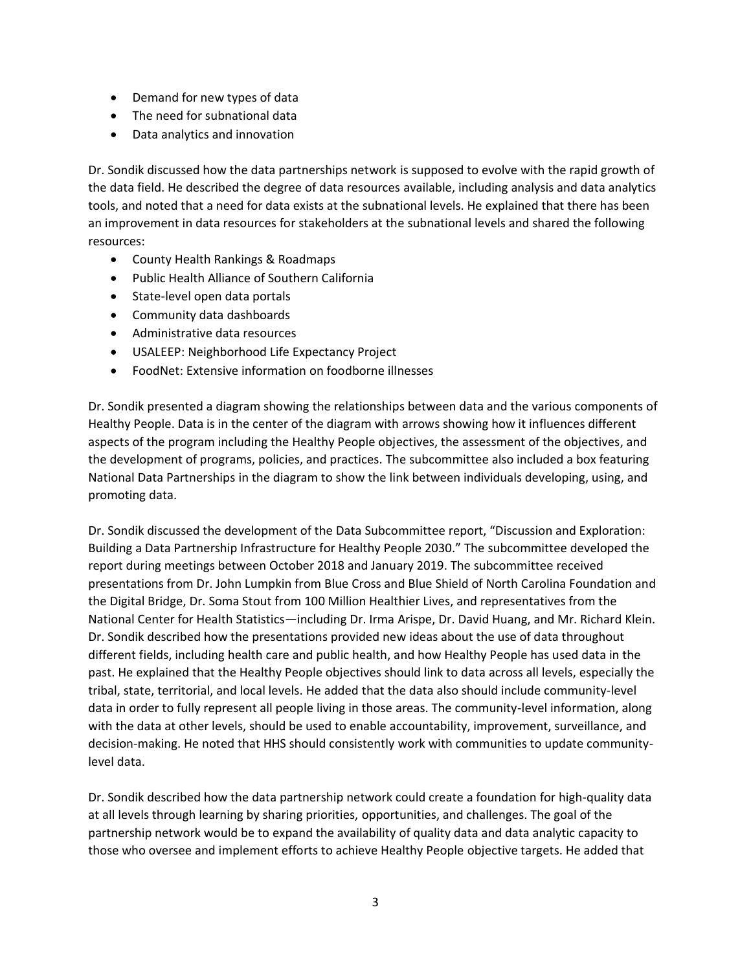- Demand for new types of data
- The need for subnational data
- Data analytics and innovation

Dr. Sondik discussed how the data partnerships network is supposed to evolve with the rapid growth of the data field. He described the degree of data resources available, including analysis and data analytics tools, and noted that a need for data exists at the subnational levels. He explained that there has been an improvement in data resources for stakeholders at the subnational levels and shared the following resources:

- County Health Rankings & Roadmaps
- Public Health Alliance of Southern California
- State-level open data portals
- Community data dashboards
- Administrative data resources
- USALEEP: Neighborhood Life Expectancy Project
- FoodNet: Extensive information on foodborne illnesses

Dr. Sondik presented a diagram showing the relationships between data and the various components of Healthy People. Data is in the center of the diagram with arrows showing how it influences different aspects of the program including the Healthy People objectives, the assessment of the objectives, and the development of programs, policies, and practices. The subcommittee also included a box featuring National Data Partnerships in the diagram to show the link between individuals developing, using, and promoting data.

Dr. Sondik discussed the development of the Data Subcommittee report, "Discussion and Exploration: Building a Data Partnership Infrastructure for Healthy People 2030." The subcommittee developed the report during meetings between October 2018 and January 2019. The subcommittee received presentations from Dr. John Lumpkin from Blue Cross and Blue Shield of North Carolina Foundation and the Digital Bridge, Dr. Soma Stout from 100 Million Healthier Lives, and representatives from the National Center for Health Statistics—including Dr. Irma Arispe, Dr. David Huang, and Mr. Richard Klein. Dr. Sondik described how the presentations provided new ideas about the use of data throughout different fields, including health care and public health, and how Healthy People has used data in the past. He explained that the Healthy People objectives should link to data across all levels, especially the tribal, state, territorial, and local levels. He added that the data also should include community-level data in order to fully represent all people living in those areas. The community-level information, along with the data at other levels, should be used to enable accountability, improvement, surveillance, and decision-making. He noted that HHS should consistently work with communities to update communitylevel data.

Dr. Sondik described how the data partnership network could create a foundation for high-quality data at all levels through learning by sharing priorities, opportunities, and challenges. The goal of the partnership network would be to expand the availability of quality data and data analytic capacity to those who oversee and implement efforts to achieve Healthy People objective targets. He added that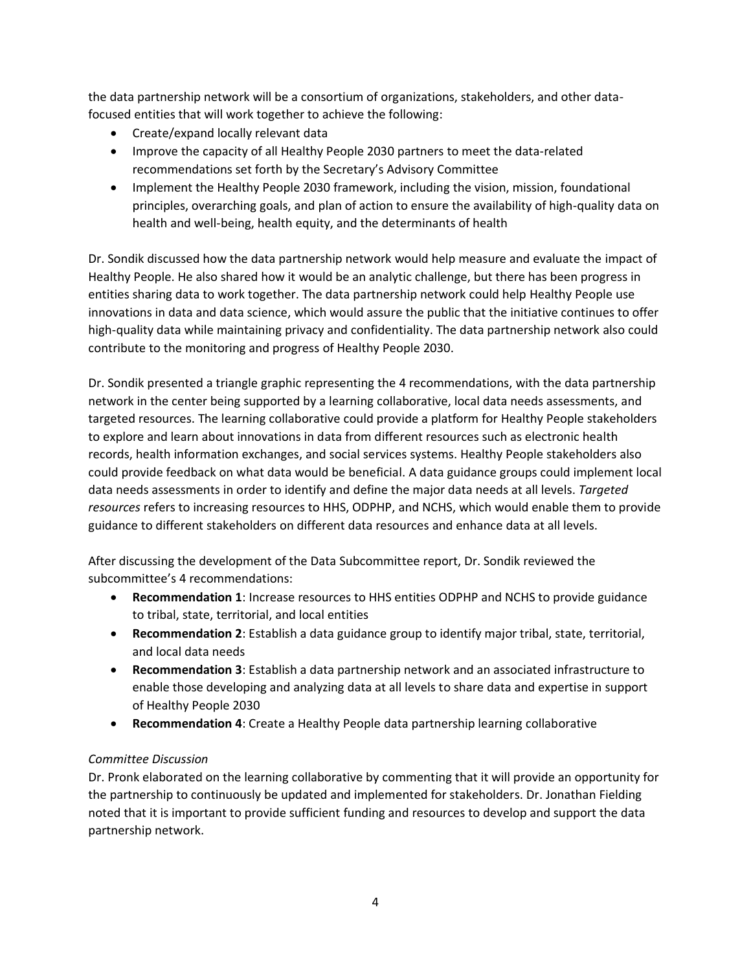the data partnership network will be a consortium of organizations, stakeholders, and other datafocused entities that will work together to achieve the following:

- Create/expand locally relevant data
- Improve the capacity of all Healthy People 2030 partners to meet the data-related recommendations set forth by the Secretary's Advisory Committee
- Implement the Healthy People 2030 framework, including the vision, mission, foundational principles, overarching goals, and plan of action to ensure the availability of high-quality data on health and well-being, health equity, and the determinants of health

Dr. Sondik discussed how the data partnership network would help measure and evaluate the impact of Healthy People. He also shared how it would be an analytic challenge, but there has been progress in entities sharing data to work together. The data partnership network could help Healthy People use innovations in data and data science, which would assure the public that the initiative continues to offer high-quality data while maintaining privacy and confidentiality. The data partnership network also could contribute to the monitoring and progress of Healthy People 2030.

Dr. Sondik presented a triangle graphic representing the 4 recommendations, with the data partnership network in the center being supported by a learning collaborative, local data needs assessments, and targeted resources. The learning collaborative could provide a platform for Healthy People stakeholders to explore and learn about innovations in data from different resources such as electronic health records, health information exchanges, and social services systems. Healthy People stakeholders also could provide feedback on what data would be beneficial. A data guidance groups could implement local data needs assessments in order to identify and define the major data needs at all levels. *Targeted resources* refers to increasing resources to HHS, ODPHP, and NCHS, which would enable them to provide guidance to different stakeholders on different data resources and enhance data at all levels.

After discussing the development of the Data Subcommittee report, Dr. Sondik reviewed the subcommittee's 4 recommendations:

- **Recommendation 1**: Increase resources to HHS entities ODPHP and NCHS to provide guidance to tribal, state, territorial, and local entities
- **Recommendation 2**: Establish a data guidance group to identify major tribal, state, territorial, and local data needs
- **Recommendation 3**: Establish a data partnership network and an associated infrastructure to enable those developing and analyzing data at all levels to share data and expertise in support of Healthy People 2030
- **Recommendation 4**: Create a Healthy People data partnership learning collaborative

### *Committee Discussion*

Dr. Pronk elaborated on the learning collaborative by commenting that it will provide an opportunity for the partnership to continuously be updated and implemented for stakeholders. Dr. Jonathan Fielding noted that it is important to provide sufficient funding and resources to develop and support the data partnership network.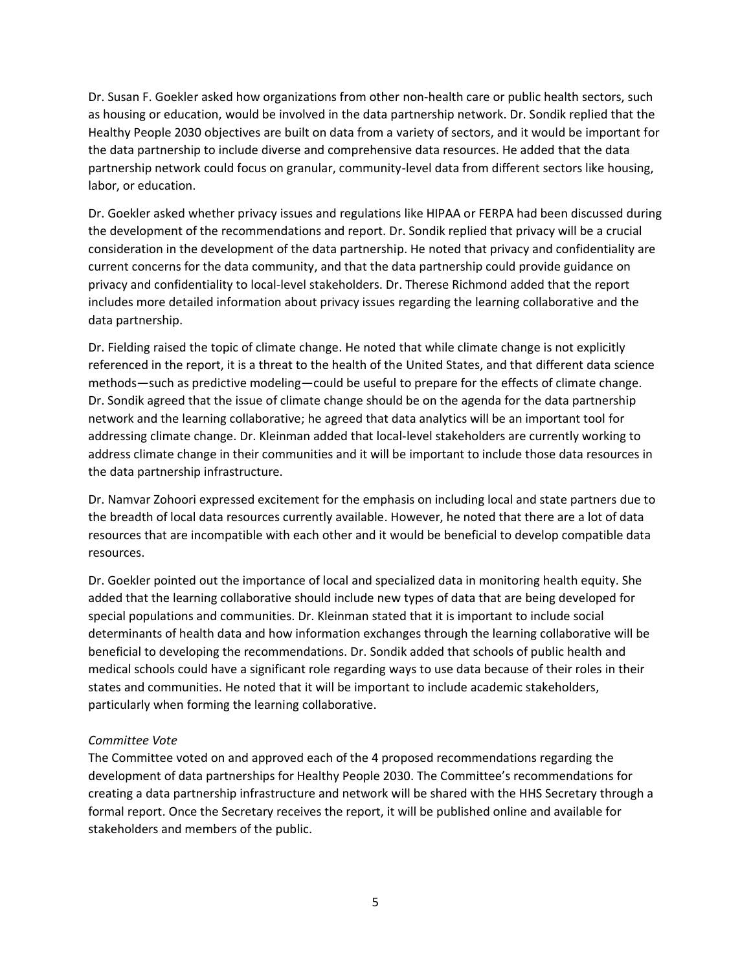Dr. Susan F. Goekler asked how organizations from other non-health care or public health sectors, such as housing or education, would be involved in the data partnership network. Dr. Sondik replied that the Healthy People 2030 objectives are built on data from a variety of sectors, and it would be important for the data partnership to include diverse and comprehensive data resources. He added that the data partnership network could focus on granular, community-level data from different sectors like housing, labor, or education.

Dr. Goekler asked whether privacy issues and regulations like HIPAA or FERPA had been discussed during the development of the recommendations and report. Dr. Sondik replied that privacy will be a crucial consideration in the development of the data partnership. He noted that privacy and confidentiality are current concerns for the data community, and that the data partnership could provide guidance on privacy and confidentiality to local-level stakeholders. Dr. Therese Richmond added that the report includes more detailed information about privacy issues regarding the learning collaborative and the data partnership.

Dr. Fielding raised the topic of climate change. He noted that while climate change is not explicitly referenced in the report, it is a threat to the health of the United States, and that different data science methods—such as predictive modeling—could be useful to prepare for the effects of climate change. Dr. Sondik agreed that the issue of climate change should be on the agenda for the data partnership network and the learning collaborative; he agreed that data analytics will be an important tool for addressing climate change. Dr. Kleinman added that local-level stakeholders are currently working to address climate change in their communities and it will be important to include those data resources in the data partnership infrastructure.

Dr. Namvar Zohoori expressed excitement for the emphasis on including local and state partners due to the breadth of local data resources currently available. However, he noted that there are a lot of data resources that are incompatible with each other and it would be beneficial to develop compatible data resources.

Dr. Goekler pointed out the importance of local and specialized data in monitoring health equity. She added that the learning collaborative should include new types of data that are being developed for special populations and communities. Dr. Kleinman stated that it is important to include social determinants of health data and how information exchanges through the learning collaborative will be beneficial to developing the recommendations. Dr. Sondik added that schools of public health and medical schools could have a significant role regarding ways to use data because of their roles in their states and communities. He noted that it will be important to include academic stakeholders, particularly when forming the learning collaborative.

### *Committee Vote*

The Committee voted on and approved each of the 4 proposed recommendations regarding the development of data partnerships for Healthy People 2030. The Committee's recommendations for creating a data partnership infrastructure and network will be shared with the HHS Secretary through a formal report. Once the Secretary receives the report, it will be published online and available for stakeholders and members of the public.